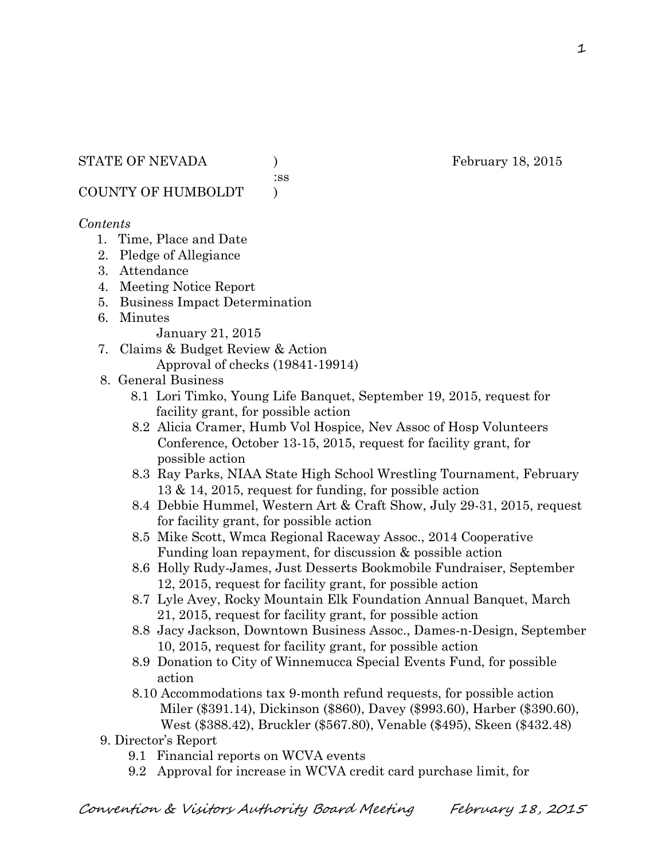:ss

COUNTY OF HUMBOLDT )

### *Contents*

- 1. Time, Place and Date
- 2. Pledge of Allegiance
- 3. Attendance
- 4. Meeting Notice Report
- 5. Business Impact Determination
- 6. Minutes

January 21, 2015

- 7. Claims & Budget Review & Action Approval of checks (19841-19914)
- 8. General Business
	- 8.1 Lori Timko, Young Life Banquet, September 19, 2015, request for facility grant, for possible action
	- 8.2 Alicia Cramer, Humb Vol Hospice, Nev Assoc of Hosp Volunteers Conference, October 13-15, 2015, request for facility grant, for possible action
	- 8.3 Ray Parks, NIAA State High School Wrestling Tournament, February 13 & 14, 2015, request for funding, for possible action
	- 8.4 Debbie Hummel, Western Art & Craft Show, July 29-31, 2015, request for facility grant, for possible action
	- 8.5 Mike Scott, Wmca Regional Raceway Assoc., 2014 Cooperative Funding loan repayment, for discussion & possible action
	- 8.6 Holly Rudy-James, Just Desserts Bookmobile Fundraiser, September 12, 2015, request for facility grant, for possible action
	- 8.7 Lyle Avey, Rocky Mountain Elk Foundation Annual Banquet, March 21, 2015, request for facility grant, for possible action
	- 8.8 Jacy Jackson, Downtown Business Assoc., Dames-n-Design, September 10, 2015, request for facility grant, for possible action
	- 8.9 Donation to City of Winnemucca Special Events Fund, for possible action
	- 8.10 Accommodations tax 9-month refund requests, for possible action Miler (\$391.14), Dickinson (\$860), Davey (\$993.60), Harber (\$390.60), West (\$388.42), Bruckler (\$567.80), Venable (\$495), Skeen (\$432.48)
- 9. Director's Report
	- 9.1 Financial reports on WCVA events
	- 9.2 Approval for increase in WCVA credit card purchase limit, for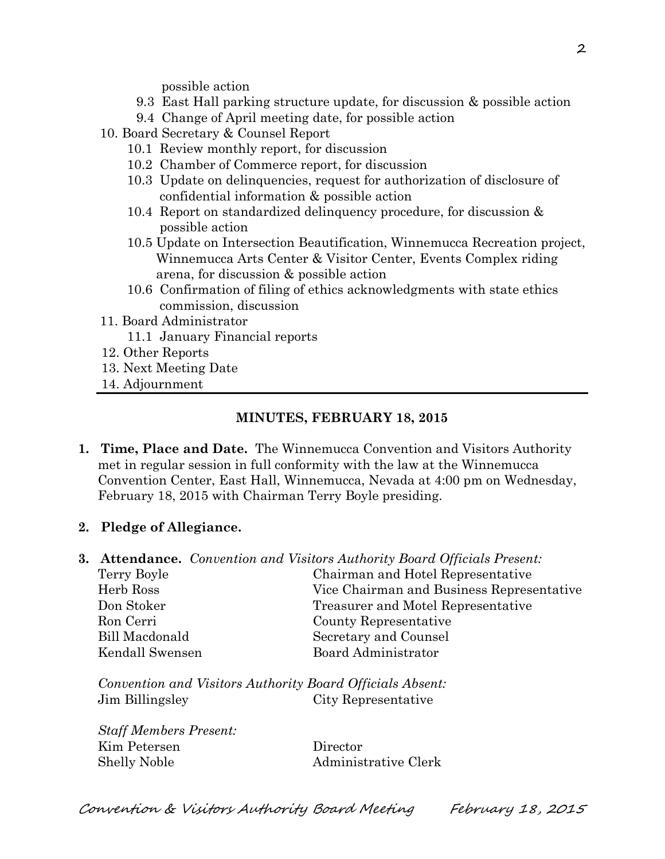possible action

- 9.3 East Hall parking structure update, for discussion & possible action
- 9.4 Change of April meeting date, for possible action
- 10. Board Secretary & Counsel Report
	- 10.1 Review monthly report, for discussion
	- 10.2 Chamber of Commerce report, for discussion
	- 10.3 Update on delinquencies, request for authorization of disclosure of confidential information & possible action
	- 10.4 Report on standardized delinquency procedure, for discussion & possible action
	- 10.5 Update on Intersection Beautification, Winnemucca Recreation project, Winnemucca Arts Center & Visitor Center, Events Complex riding arena, for discussion & possible action
	- 10.6 Confirmation of filing of ethics acknowledgments with state ethics commission, discussion
- 11. Board Administrator
	- 11.1 January Financial reports
- 12. Other Reports
- 13. Next Meeting Date
- 14. Adjournment

#### **MINUTES, FEBRUARY 18, 2015**

- **1. Time, Place and Date.** The Winnemucca Convention and Visitors Authority met in regular session in full conformity with the law at the Winnemucca Convention Center, East Hall, Winnemucca, Nevada at 4:00 pm on Wednesday, February 18, 2015 with Chairman Terry Boyle presiding.
- **2. Pledge of Allegiance.**

|                 | <b>3. Attendance.</b> Convention and Visitors Authority Board Officials Present: |
|-----------------|----------------------------------------------------------------------------------|
| Terry Boyle     | Chairman and Hotel Representative                                                |
| Herb Ross       | Vice Chairman and Business Representative                                        |
| Don Stoker      | Treasurer and Motel Representative                                               |
| Ron Cerri       | County Representative                                                            |
| Bill Macdonald  | Secretary and Counsel                                                            |
| Kendall Swensen | Board Administrator                                                              |
|                 |                                                                                  |

*Convention and Visitors Authority Board Officials Absent:* Jim Billingsley City Representative

| <b>Staff Members Present:</b> |                      |
|-------------------------------|----------------------|
| Kim Petersen                  | Director             |
| Shelly Noble                  | Administrative Clerk |

Convention & Visitors Authority Board Meeting February 18, 2015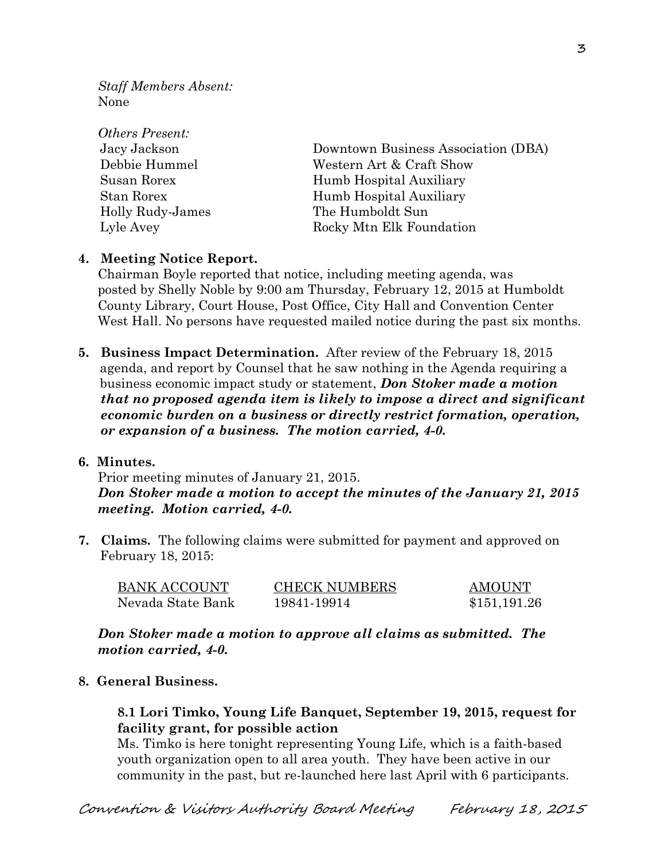*Staff Members Absent:* None

| Downtown Business Association (DBA) |
|-------------------------------------|
| Western Art & Craft Show            |
| Humb Hospital Auxiliary             |
| Humb Hospital Auxiliary             |
| The Humboldt Sun                    |
| Rocky Mtn Elk Foundation            |
|                                     |

#### **4. Meeting Notice Report.**

Chairman Boyle reported that notice, including meeting agenda, was posted by Shelly Noble by 9:00 am Thursday, February 12, 2015 at Humboldt County Library, Court House, Post Office, City Hall and Convention Center West Hall. No persons have requested mailed notice during the past six months.

**5. Business Impact Determination.** After review of the February 18, 2015 agenda, and report by Counsel that he saw nothing in the Agenda requiring a business economic impact study or statement, *Don Stoker made a motion that no proposed agenda item is likely to impose a direct and significant economic burden on a business or directly restrict formation, operation, or expansion of a business. The motion carried, 4-0.* 

#### **6. Minutes.**

Prior meeting minutes of January 21, 2015. *Don Stoker made a motion to accept the minutes of the January 21, 2015 meeting. Motion carried, 4-0.* 

**7. Claims.** The following claims were submitted for payment and approved on February 18, 2015:

| <b>BANK ACCOUNT</b> | <b>CHECK NUMBERS</b> | <b>AMOUNT</b> |
|---------------------|----------------------|---------------|
| Nevada State Bank   | 19841-19914          | \$151,191.26  |

*Don Stoker made a motion to approve all claims as submitted. The motion carried, 4-0.* 

#### **8. General Business.**

#### **8.1 Lori Timko, Young Life Banquet, September 19, 2015, request for facility grant, for possible action**

Ms. Timko is here tonight representing Young Life, which is a faith-based youth organization open to all area youth. They have been active in our community in the past, but re-launched here last April with 6 participants.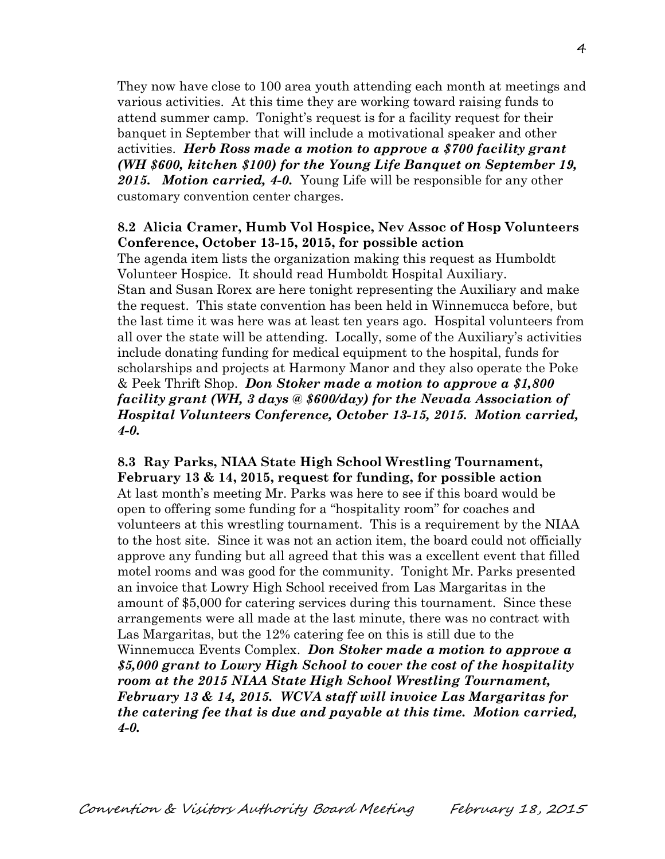They now have close to 100 area youth attending each month at meetings and various activities. At this time they are working toward raising funds to attend summer camp. Tonight's request is for a facility request for their banquet in September that will include a motivational speaker and other activities. *Herb Ross made a motion to approve a \$700 facility grant (WH \$600, kitchen \$100) for the Young Life Banquet on September 19, 2015. Motion carried, 4-0.* Young Life will be responsible for any other customary convention center charges.

#### **8.2 Alicia Cramer, Humb Vol Hospice, Nev Assoc of Hosp Volunteers Conference, October 13-15, 2015, for possible action**

The agenda item lists the organization making this request as Humboldt Volunteer Hospice. It should read Humboldt Hospital Auxiliary. Stan and Susan Rorex are here tonight representing the Auxiliary and make the request. This state convention has been held in Winnemucca before, but the last time it was here was at least ten years ago. Hospital volunteers from all over the state will be attending. Locally, some of the Auxiliary's activities include donating funding for medical equipment to the hospital, funds for scholarships and projects at Harmony Manor and they also operate the Poke & Peek Thrift Shop. *Don Stoker made a motion to approve a \$1,800 facility grant (WH, 3 days @ \$600/day) for the Nevada Association of Hospital Volunteers Conference, October 13-15, 2015. Motion carried, 4-0.* 

#### **8.3 Ray Parks, NIAA State High School Wrestling Tournament, February 13 & 14, 2015, request for funding, for possible action**

At last month's meeting Mr. Parks was here to see if this board would be open to offering some funding for a "hospitality room" for coaches and volunteers at this wrestling tournament. This is a requirement by the NIAA to the host site. Since it was not an action item, the board could not officially approve any funding but all agreed that this was a excellent event that filled motel rooms and was good for the community. Tonight Mr. Parks presented an invoice that Lowry High School received from Las Margaritas in the amount of \$5,000 for catering services during this tournament. Since these arrangements were all made at the last minute, there was no contract with Las Margaritas, but the 12% catering fee on this is still due to the Winnemucca Events Complex. *Don Stoker made a motion to approve a \$5,000 grant to Lowry High School to cover the cost of the hospitality room at the 2015 NIAA State High School Wrestling Tournament, February 13 & 14, 2015. WCVA staff will invoice Las Margaritas for the catering fee that is due and payable at this time. Motion carried, 4-0.*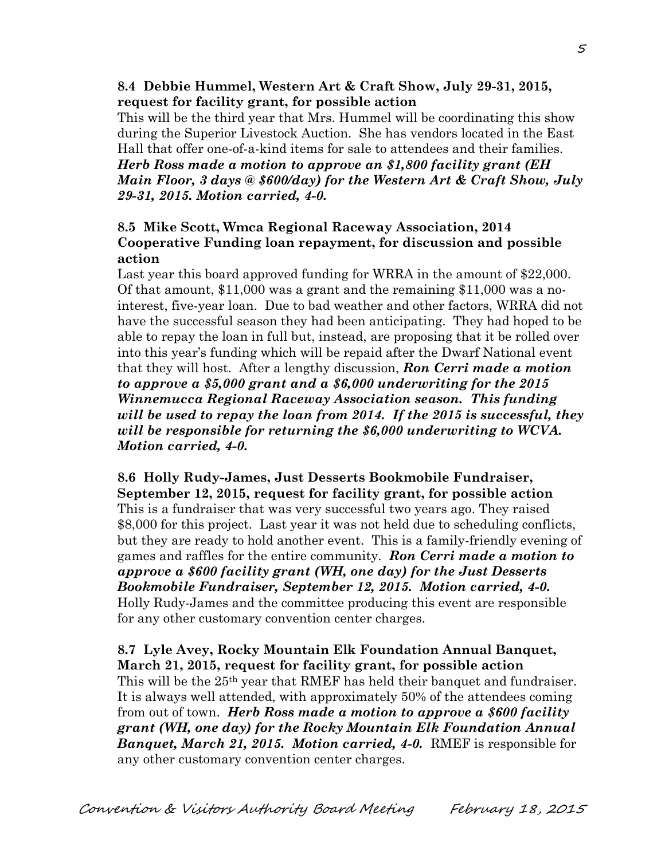#### **8.4 Debbie Hummel, Western Art & Craft Show, July 29-31, 2015, request for facility grant, for possible action**

This will be the third year that Mrs. Hummel will be coordinating this show during the Superior Livestock Auction. She has vendors located in the East Hall that offer one-of-a-kind items for sale to attendees and their families. *Herb Ross made a motion to approve an \$1,800 facility grant (EH Main Floor, 3 days @ \$600/day) for the Western Art & Craft Show, July 29-31, 2015. Motion carried, 4-0.* 

### **8.5 Mike Scott, Wmca Regional Raceway Association, 2014 Cooperative Funding loan repayment, for discussion and possible action**

Last year this board approved funding for WRRA in the amount of \$22,000. Of that amount, \$11,000 was a grant and the remaining \$11,000 was a nointerest, five-year loan. Due to bad weather and other factors, WRRA did not have the successful season they had been anticipating. They had hoped to be able to repay the loan in full but, instead, are proposing that it be rolled over into this year's funding which will be repaid after the Dwarf National event that they will host. After a lengthy discussion, *Ron Cerri made a motion to approve a \$5,000 grant and a \$6,000 underwriting for the 2015 Winnemucca Regional Raceway Association season. This funding will be used to repay the loan from 2014. If the 2015 is successful, they will be responsible for returning the \$6,000 underwriting to WCVA. Motion carried, 4-0.* 

**8.6 Holly Rudy-James, Just Desserts Bookmobile Fundraiser, September 12, 2015, request for facility grant, for possible action** This is a fundraiser that was very successful two years ago. They raised \$8,000 for this project. Last year it was not held due to scheduling conflicts, but they are ready to hold another event. This is a family-friendly evening of games and raffles for the entire community. *Ron Cerri made a motion to approve a \$600 facility grant (WH, one day) for the Just Desserts Bookmobile Fundraiser, September 12, 2015. Motion carried, 4-0.*  Holly Rudy-James and the committee producing this event are responsible for any other customary convention center charges.

# **8.7 Lyle Avey, Rocky Mountain Elk Foundation Annual Banquet, March 21, 2015, request for facility grant, for possible action**

This will be the 25<sup>th</sup> year that RMEF has held their banquet and fundraiser. It is always well attended, with approximately 50% of the attendees coming from out of town. *Herb Ross made a motion to approve a \$600 facility grant (WH, one day) for the Rocky Mountain Elk Foundation Annual Banquet, March 21, 2015. Motion carried, 4-0.* RMEF is responsible for any other customary convention center charges.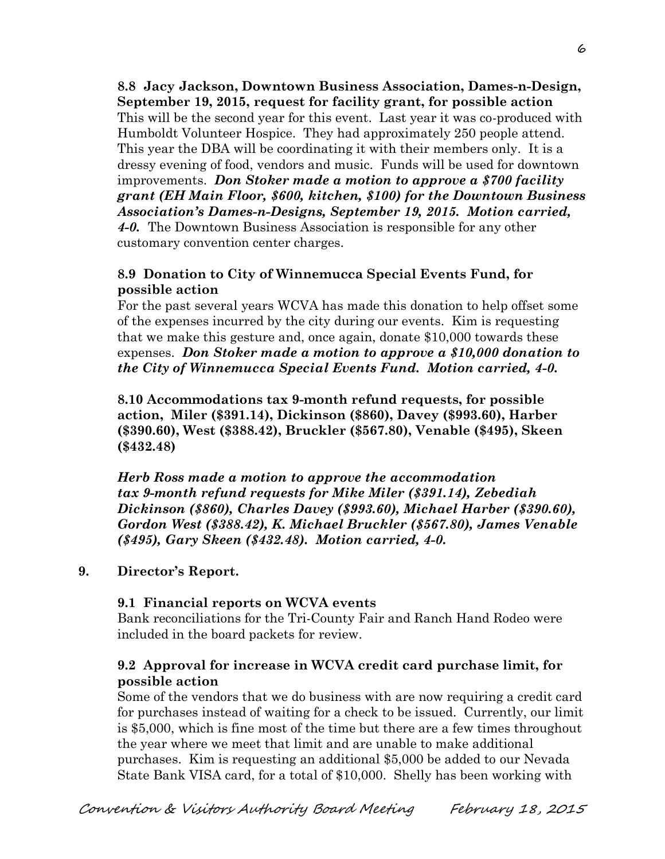**8.8 Jacy Jackson, Downtown Business Association, Dames-n-Design, September 19, 2015, request for facility grant, for possible action** This will be the second year for this event. Last year it was co-produced with Humboldt Volunteer Hospice. They had approximately 250 people attend. This year the DBA will be coordinating it with their members only. It is a dressy evening of food, vendors and music. Funds will be used for downtown improvements. *Don Stoker made a motion to approve a \$700 facility grant (EH Main Floor, \$600, kitchen, \$100) for the Downtown Business Association's Dames-n-Designs, September 19, 2015. Motion carried, 4-0.* The Downtown Business Association is responsible for any other customary convention center charges.

### **8.9 Donation to City of Winnemucca Special Events Fund, for possible action**

For the past several years WCVA has made this donation to help offset some of the expenses incurred by the city during our events. Kim is requesting that we make this gesture and, once again, donate \$10,000 towards these expenses. *Don Stoker made a motion to approve a \$10,000 donation to the City of Winnemucca Special Events Fund. Motion carried, 4-0.* 

**8.10 Accommodations tax 9-month refund requests, for possible action, Miler (\$391.14), Dickinson (\$860), Davey (\$993.60), Harber (\$390.60), West (\$388.42), Bruckler (\$567.80), Venable (\$495), Skeen (\$432.48)**

*Herb Ross made a motion to approve the accommodation tax 9-month refund requests for Mike Miler (\$391.14), Zebediah Dickinson (\$860), Charles Davey (\$993.60), Michael Harber (\$390.60), Gordon West (\$388.42), K. Michael Bruckler (\$567.80), James Venable (\$495), Gary Skeen (\$432.48). Motion carried, 4-0.*

### **9. Director's Report.**

### **9.1 Financial reports on WCVA events**

Bank reconciliations for the Tri-County Fair and Ranch Hand Rodeo were included in the board packets for review.

## **9.2 Approval for increase in WCVA credit card purchase limit, for possible action**

Some of the vendors that we do business with are now requiring a credit card for purchases instead of waiting for a check to be issued. Currently, our limit is \$5,000, which is fine most of the time but there are a few times throughout the year where we meet that limit and are unable to make additional purchases. Kim is requesting an additional \$5,000 be added to our Nevada State Bank VISA card, for a total of \$10,000. Shelly has been working with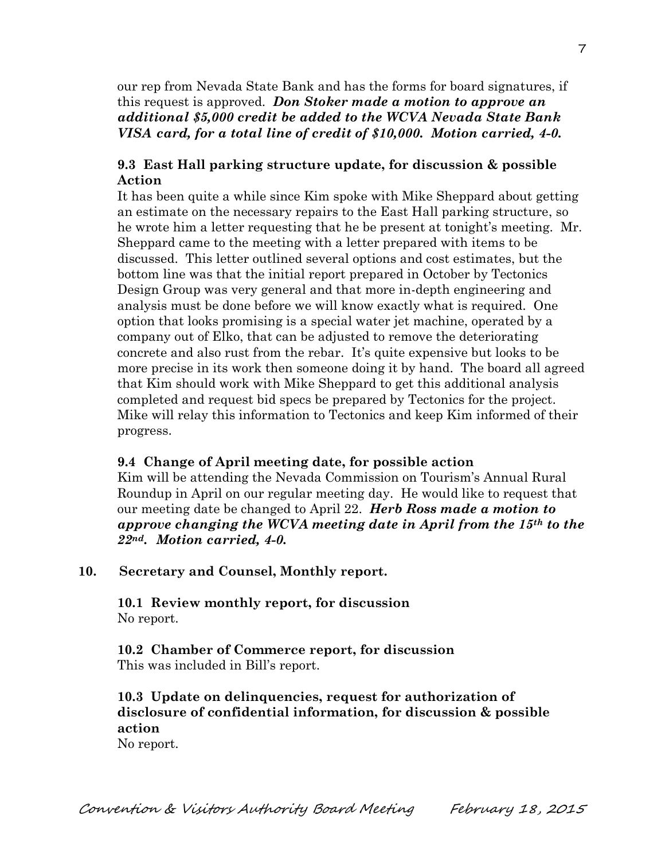our rep from Nevada State Bank and has the forms for board signatures, if this request is approved. *Don Stoker made a motion to approve an additional \$5,000 credit be added to the WCVA Nevada State Bank VISA card, for a total line of credit of \$10,000. Motion carried, 4-0.* 

### **9.3 East Hall parking structure update, for discussion & possible Action**

It has been quite a while since Kim spoke with Mike Sheppard about getting an estimate on the necessary repairs to the East Hall parking structure, so he wrote him a letter requesting that he be present at tonight's meeting. Mr. Sheppard came to the meeting with a letter prepared with items to be discussed. This letter outlined several options and cost estimates, but the bottom line was that the initial report prepared in October by Tectonics Design Group was very general and that more in-depth engineering and analysis must be done before we will know exactly what is required. One option that looks promising is a special water jet machine, operated by a company out of Elko, that can be adjusted to remove the deteriorating concrete and also rust from the rebar. It's quite expensive but looks to be more precise in its work then someone doing it by hand. The board all agreed that Kim should work with Mike Sheppard to get this additional analysis completed and request bid specs be prepared by Tectonics for the project. Mike will relay this information to Tectonics and keep Kim informed of their progress.

#### **9.4 Change of April meeting date, for possible action**

Kim will be attending the Nevada Commission on Tourism's Annual Rural Roundup in April on our regular meeting day. He would like to request that our meeting date be changed to April 22. *Herb Ross made a motion to approve changing the WCVA meeting date in April from the 15th to the 22nd. Motion carried, 4-0.* 

#### **10. Secretary and Counsel, Monthly report.**

**10.1 Review monthly report, for discussion** No report.

**10.2 Chamber of Commerce report, for discussion** This was included in Bill's report.

**10.3 Update on delinquencies, request for authorization of disclosure of confidential information, for discussion & possible action**

No report.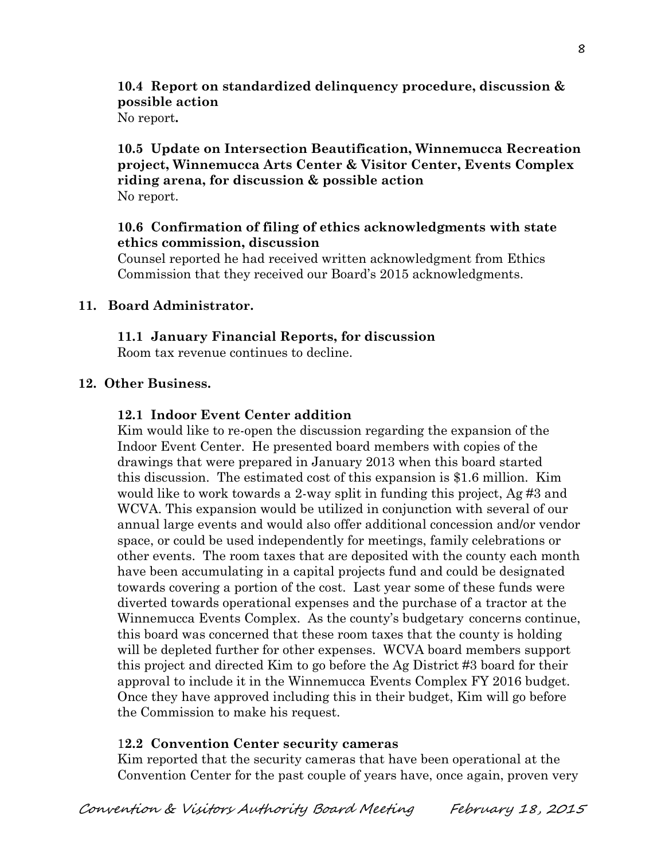# **10.4 Report on standardized delinquency procedure, discussion & possible action**

No report**.**

### **10.5 Update on Intersection Beautification, Winnemucca Recreation project, Winnemucca Arts Center & Visitor Center, Events Complex riding arena, for discussion & possible action** No report.

### **10.6 Confirmation of filing of ethics acknowledgments with state ethics commission, discussion**

Counsel reported he had received written acknowledgment from Ethics Commission that they received our Board's 2015 acknowledgments.

### **11. Board Administrator.**

### **11.1 January Financial Reports, for discussion**

Room tax revenue continues to decline.

## **12. Other Business.**

### **12.1 Indoor Event Center addition**

Kim would like to re-open the discussion regarding the expansion of the Indoor Event Center. He presented board members with copies of the drawings that were prepared in January 2013 when this board started this discussion. The estimated cost of this expansion is \$1.6 million. Kim would like to work towards a 2-way split in funding this project, Ag #3 and WCVA. This expansion would be utilized in conjunction with several of our annual large events and would also offer additional concession and/or vendor space, or could be used independently for meetings, family celebrations or other events. The room taxes that are deposited with the county each month have been accumulating in a capital projects fund and could be designated towards covering a portion of the cost. Last year some of these funds were diverted towards operational expenses and the purchase of a tractor at the Winnemucca Events Complex. As the county's budgetary concerns continue, this board was concerned that these room taxes that the county is holding will be depleted further for other expenses. WCVA board members support this project and directed Kim to go before the Ag District #3 board for their approval to include it in the Winnemucca Events Complex FY 2016 budget. Once they have approved including this in their budget, Kim will go before the Commission to make his request.

### 1**2.2 Convention Center security cameras**

Kim reported that the security cameras that have been operational at the Convention Center for the past couple of years have, once again, proven very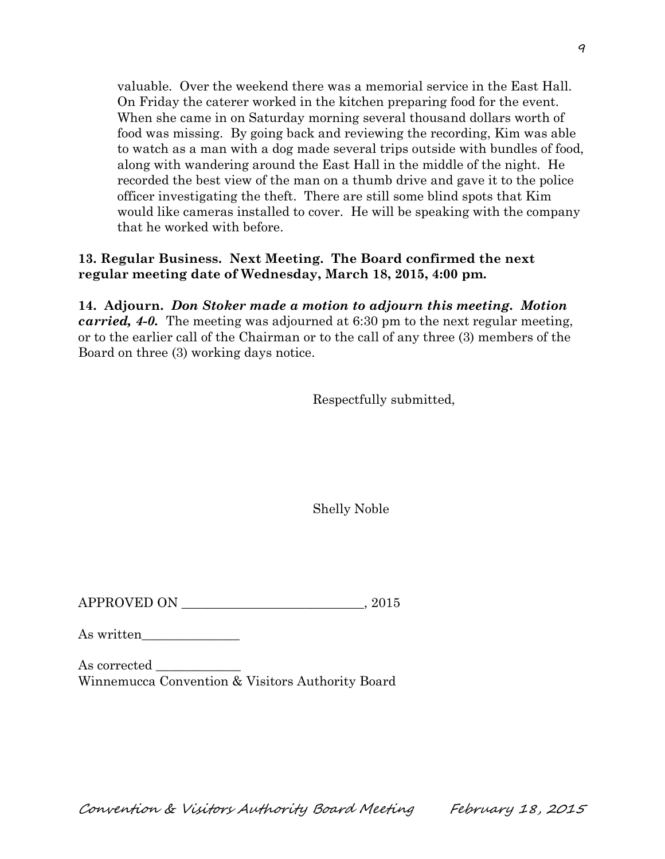valuable. Over the weekend there was a memorial service in the East Hall. On Friday the caterer worked in the kitchen preparing food for the event. When she came in on Saturday morning several thousand dollars worth of food was missing. By going back and reviewing the recording, Kim was able to watch as a man with a dog made several trips outside with bundles of food, along with wandering around the East Hall in the middle of the night. He recorded the best view of the man on a thumb drive and gave it to the police officer investigating the theft. There are still some blind spots that Kim would like cameras installed to cover. He will be speaking with the company that he worked with before.

### **13. Regular Business. Next Meeting. The Board confirmed the next regular meeting date of Wednesday, March 18, 2015, 4:00 pm.**

**14. Adjourn.** *Don Stoker made a motion to adjourn this meeting. Motion carried, 4-0.* The meeting was adjourned at 6:30 pm to the next regular meeting, or to the earlier call of the Chairman or to the call of any three (3) members of the Board on three (3) working days notice.

Respectfully submitted,

Shelly Noble

 $\begin{tabular}{c} \bf APPROVED ON \end{tabular} \begin{tabular}{c} \multicolumn{2}{c} \multicolumn{2}{c} \multicolumn{2}{c} \multicolumn{2}{c} \multicolumn{2}{c} \multicolumn{2}{c} \multicolumn{2}{c} \multicolumn{2}{c} \multicolumn{2}{c} \multicolumn{2}{c} \multicolumn{2}{c} \multicolumn{2}{c} \multicolumn{2}{c} \multicolumn{2}{c} \multicolumn{2}{c} \multicolumn{2}{c} \multicolumn{2}{c} \multicolumn{2}{c} \multicolumn{2}{c} \multicolumn{2}{c} \multicolumn{2}{c} \multic$ 

As written\_\_\_\_\_\_\_\_\_\_\_\_\_\_\_

As corrected Winnemucca Convention & Visitors Authority Board

Convention & Visitors Authority Board Meeting February 18, 2015